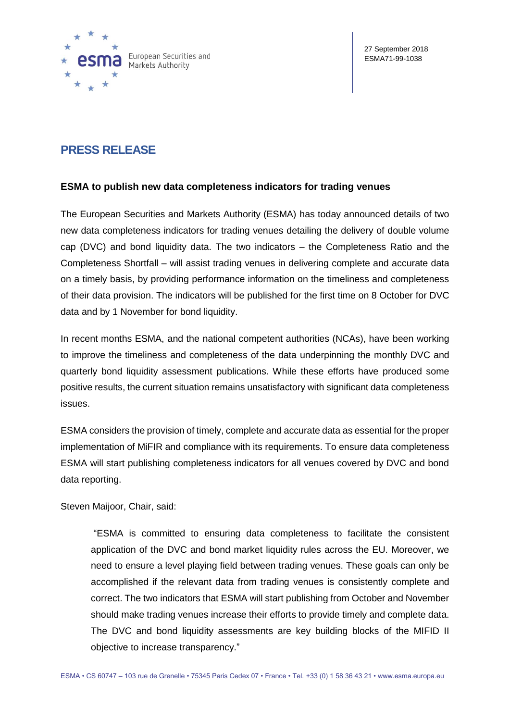

# **PRESS RELEASE**

## **ESMA to publish new data completeness indicators for trading venues**

The European Securities and Markets Authority (ESMA) has today announced details of two new data completeness indicators for trading venues detailing the delivery of double volume cap (DVC) and bond liquidity data. The two indicators – the Completeness Ratio and the Completeness Shortfall – will assist trading venues in delivering complete and accurate data on a timely basis, by providing performance information on the timeliness and completeness of their data provision. The indicators will be published for the first time on 8 October for DVC data and by 1 November for bond liquidity.

In recent months ESMA, and the national competent authorities (NCAs), have been working to improve the timeliness and completeness of the data underpinning the monthly DVC and quarterly bond liquidity assessment publications. While these efforts have produced some positive results, the current situation remains unsatisfactory with significant data completeness issues.

ESMA considers the provision of timely, complete and accurate data as essential for the proper implementation of MiFIR and compliance with its requirements. To ensure data completeness ESMA will start publishing completeness indicators for all venues covered by DVC and bond data reporting.

Steven Maijoor, Chair, said:

"ESMA is committed to ensuring data completeness to facilitate the consistent application of the DVC and bond market liquidity rules across the EU. Moreover, we need to ensure a level playing field between trading venues. These goals can only be accomplished if the relevant data from trading venues is consistently complete and correct. The two indicators that ESMA will start publishing from October and November should make trading venues increase their efforts to provide timely and complete data. The DVC and bond liquidity assessments are key building blocks of the MIFID II objective to increase transparency."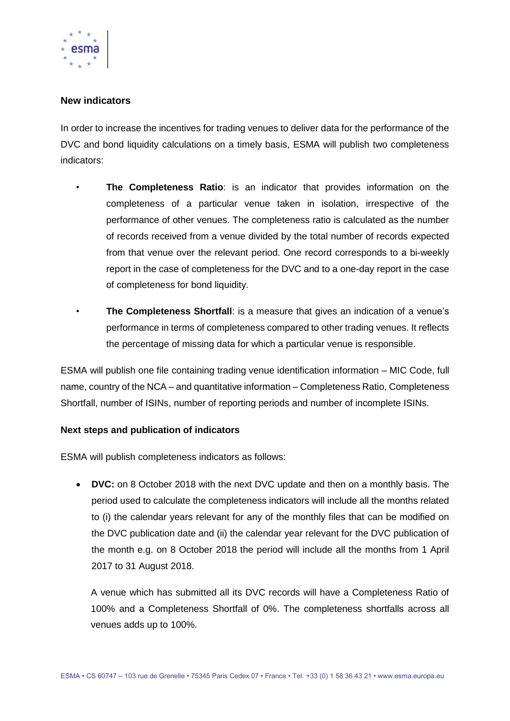

## **New indicators**

In order to increase the incentives for trading venues to deliver data for the performance of the DVC and bond liquidity calculations on a timely basis, ESMA will publish two completeness indicators:

- **The Completeness Ratio**: is an indicator that provides information on the completeness of a particular venue taken in isolation, irrespective of the performance of other venues. The completeness ratio is calculated as the number of records received from a venue divided by the total number of records expected from that venue over the relevant period. One record corresponds to a bi-weekly report in the case of completeness for the DVC and to a one-day report in the case of completeness for bond liquidity.
- **The Completeness Shortfall**: is a measure that gives an indication of a venue's performance in terms of completeness compared to other trading venues. It reflects the percentage of missing data for which a particular venue is responsible.

ESMA will publish one file containing trading venue identification information – MIC Code, full name, country of the NCA – and quantitative information – Completeness Ratio, Completeness Shortfall, number of ISINs, number of reporting periods and number of incomplete ISINs.

#### **Next steps and publication of indicators**

ESMA will publish completeness indicators as follows:

 **DVC:** on 8 October 2018 with the next DVC update and then on a monthly basis. The period used to calculate the completeness indicators will include all the months related to (i) the calendar years relevant for any of the monthly files that can be modified on the DVC publication date and (ii) the calendar year relevant for the DVC publication of the month e.g. on 8 October 2018 the period will include all the months from 1 April 2017 to 31 August 2018.

A venue which has submitted all its DVC records will have a Completeness Ratio of 100% and a Completeness Shortfall of 0%. The completeness shortfalls across all venues adds up to 100%.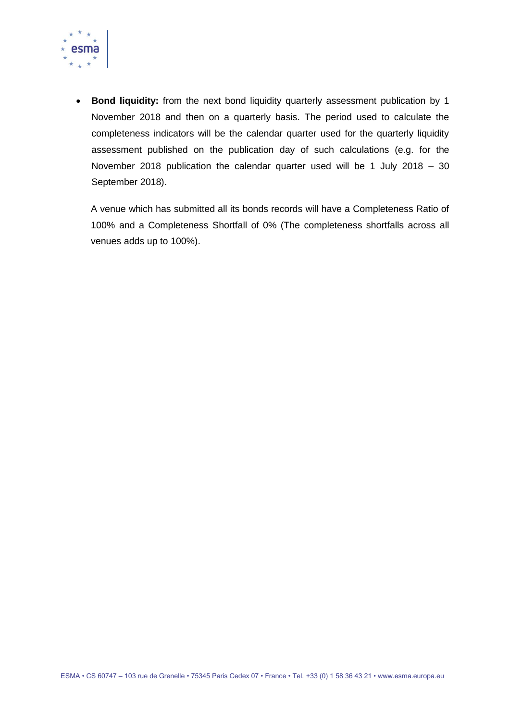

**Bond liquidity:** from the next bond liquidity quarterly assessment publication by 1 November 2018 and then on a quarterly basis. The period used to calculate the completeness indicators will be the calendar quarter used for the quarterly liquidity assessment published on the publication day of such calculations (e.g. for the November 2018 publication the calendar quarter used will be 1 July 2018 – 30 September 2018).

A venue which has submitted all its bonds records will have a Completeness Ratio of 100% and a Completeness Shortfall of 0% (The completeness shortfalls across all venues adds up to 100%).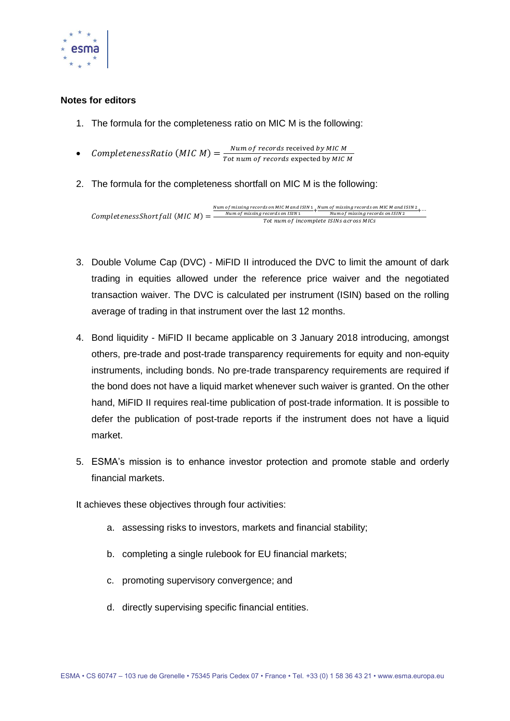

#### **Notes for editors**

- 1. The formula for the completeness ratio on MIC M is the following:
- CompletenessRatio (MIC M) =  $\frac{Num \ of \ records \ received \ by \ MIC \ M}{T \ at \ num \ of \ records \ connected \ but \ MC}$ Tot num of records expected by MIC M
- 2. The formula for the completeness shortfall on MIC M is the following:

 $Completeness Shortfall (MIC M) =$ Num of missing records on MIC M and ISIN  $\frac{1}{1} + \frac{Num \ of \ missing \ records \ on \ MIC \ M \ and \ ISIN \ 2} + \cdots$ <br>Num of missing records on ISIN  $\frac{1}{1} + \frac{Num \ of \ missing \ records \ on \ ISIN \ 2} + \cdots$ Tot num of incomplete ISINs across MICs

- 3. Double Volume Cap (DVC) MiFID II introduced the DVC to limit the amount of dark trading in equities allowed under the reference price waiver and the negotiated transaction waiver. The DVC is calculated per instrument (ISIN) based on the rolling average of trading in that instrument over the last 12 months.
- 4. Bond liquidity MiFID II became applicable on 3 January 2018 introducing, amongst others, pre-trade and post-trade transparency requirements for equity and non-equity instruments, including bonds. No pre-trade transparency requirements are required if the bond does not have a liquid market whenever such waiver is granted. On the other hand, MiFID II requires real-time publication of post-trade information. It is possible to defer the publication of post-trade reports if the instrument does not have a liquid market.
- 5. ESMA's mission is to enhance investor protection and promote stable and orderly financial markets.

It achieves these objectives through four activities:

- a. assessing risks to investors, markets and financial stability;
- b. completing a single rulebook for EU financial markets;
- c. promoting supervisory convergence; and
- d. directly supervising specific financial entities.